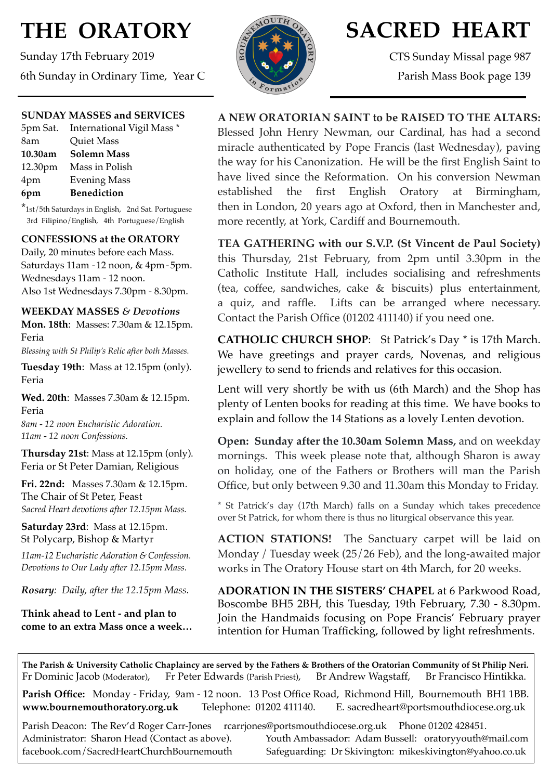# **THE ORATORY**

Sunday 17th February 2019 6th Sunday in Ordinary Time, Year C

#### **SUNDAY MASSES and SERVICES**

|         | 5pm Sat. International Vigil Mass * |
|---------|-------------------------------------|
| 8am     | Quiet Mass                          |
| 10.30am | <b>Solemn Mass</b>                  |
|         | 12.30pm Mass in Polish              |
| 4pm     | <b>Evening Mass</b>                 |
| 6pm     | <b>Benediction</b>                  |

\*1st/5th Saturdays in English, 2nd Sat. Portuguese 3rd Filipino/English, 4th Portuguese/English

#### **CONFESSIONS at the ORATORY**

Daily, 20 minutes before each Mass. Saturdays 11am - 12 noon, & 4pm- 5pm. Wednesdays 11am - 12 noon. Also 1st Wednesdays 7.30pm - 8.30pm.

#### **WEEKDAY MASSES** *& Devotions*

**Mon. 18th**: Masses: 7.30am & 12.15pm. Feria

*Blessing with St Philip's Relic after both Masses.*

**Tuesday 19th**: Mass at 12.15pm (only). Feria

**Wed. 20th**: Masses 7.30am & 12.15pm. Feria

*8am - 12 noon Eucharistic Adoration. 11am - 12 noon Confessions.*

**Thursday 21st**: Mass at 12.15pm (only). Feria or St Peter Damian, Religious

**Fri. 22nd:** Masses 7.30am & 12.15pm. The Chair of St Peter, Feast *Sacred Heart devotions after 12.15pm Mass.*

**Saturday 23rd**: Mass at 12.15pm. St Polycarp, Bishop & Martyr

*11am-12 Eucharistic Adoration & Confession. Devotions to Our Lady after 12.15pm Mass.*

*Rosary: Daily, after the 12.15pm Mass*.

**Think ahead to Lent - and plan to come to an extra Mass once a week…** 



## **SACRED HEART**

CTS Sunday Missal page 987 Parish Mass Book page 139

#### **A NEW ORATORIAN SAINT to be RAISED TO THE ALTARS:**

Blessed John Henry Newman, our Cardinal, has had a second miracle authenticated by Pope Francis (last Wednesday), paving the way for his Canonization. He will be the first English Saint to have lived since the Reformation. On his conversion Newman established the first English Oratory at Birmingham, then in London, 20 years ago at Oxford, then in Manchester and, more recently, at York, Cardiff and Bournemouth.

**TEA GATHERING with our S.V.P. (St Vincent de Paul Society)**  this Thursday, 21st February, from 2pm until 3.30pm in the Catholic Institute Hall, includes socialising and refreshments (tea, coffee, sandwiches, cake & biscuits) plus entertainment, a quiz, and raffle. Lifts can be arranged where necessary. Contact the Parish Office (01202 411140) if you need one.

**CATHOLIC CHURCH SHOP**: St Patrick's Day \* is 17th March. We have greetings and prayer cards, Novenas, and religious jewellery to send to friends and relatives for this occasion.

Lent will very shortly be with us (6th March) and the Shop has plenty of Lenten books for reading at this time. We have books to explain and follow the 14 Stations as a lovely Lenten devotion.

**Open: Sunday after the 10.30am Solemn Mass,** and on weekday mornings. This week please note that, although Sharon is away on holiday, one of the Fathers or Brothers will man the Parish Office, but only between 9.30 and 11.30am this Monday to Friday.

\* St Patrick's day (17th March) falls on a Sunday which takes precedence over St Patrick, for whom there is thus no liturgical observance this year.

**ACTION STATIONS!** The Sanctuary carpet will be laid on Monday / Tuesday week (25/26 Feb), and the long-awaited major works in The Oratory House start on 4th March, for 20 weeks.

**ADORATION IN THE SISTERS' CHAPEL** at 6 Parkwood Road, Boscombe BH5 2BH, this Tuesday, 19th February, 7.30 - 8.30pm. Join the Handmaids focusing on Pope Francis' February prayer intention for Human Trafficking, followed by light refreshments.

**The Parish & University Catholic Chaplaincy are served by the Fathers & Brothers of the Oratorian Community of St Philip Neri.** Fr Dominic Jacob (Moderator), Fr Peter Edwards (Parish Priest), Br Andrew Wagstaff, Br Francisco Hintikka.

**Parish Office:** Monday - Friday, 9am - 12 noon. 13 Post Office Road, Richmond Hill, Bournemouth BH1 1BB. **[www.bournemouthoratory.org.uk](http://www.bournemoithoratory.org.uk)** Telephone: 01202 411140. E. [sacredheart@portsmouthdiocese.org.uk](mailto:sacredheart@portsmouthdiocese.org.uk)

Parish Deacon: The Rev'd Roger Carr-Jones [rcarrjones@portsmouthdiocese.org.uk](mailto:rcarrjones@portsmouthdiocese.org.uk) Phone 01202 428451.

Administrator: Sharon Head (Contact as above). Youth Ambassador: Adam Bussell: [oratoryyouth@mail.com](http://oratoryyouth.mail.com) [facebook.com/SacredHeartChurchBournemouth](http://facebook.com/SaccredHeartChurchBournemouth) Safeguarding: Dr Skivington: mikeskivington@yahoo.co.uk